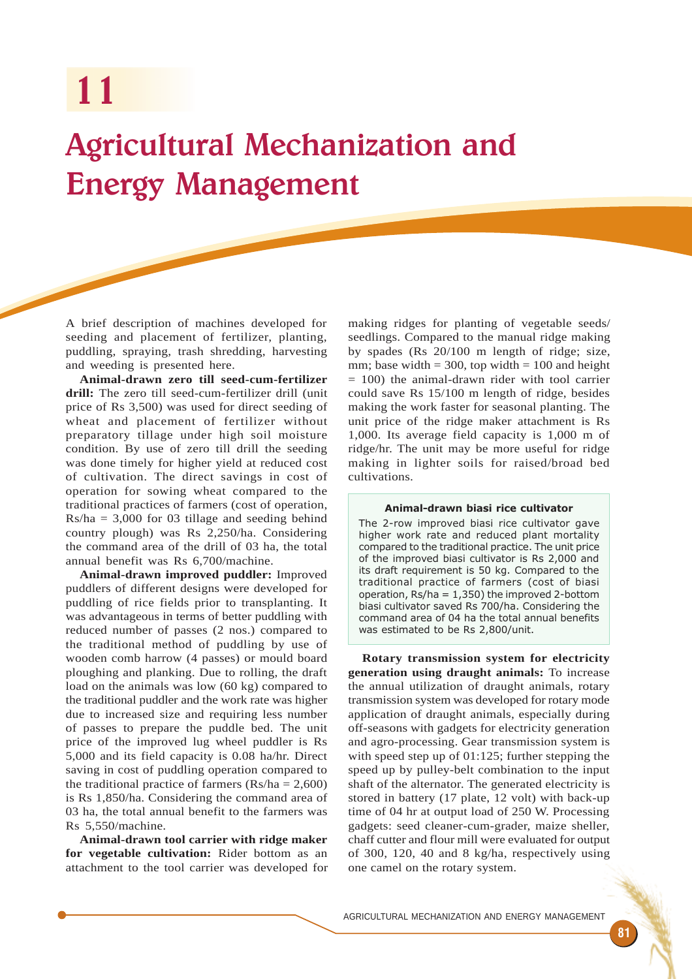11

# Agricultural Mechanization and Energy Management

A brief description of machines developed for seeding and placement of fertilizer, planting, puddling, spraying, trash shredding, harvesting and weeding is presented here.

**Animal-drawn zero till seed-cum-fertilizer drill:** The zero till seed-cum-fertilizer drill (unit price of Rs 3,500) was used for direct seeding of wheat and placement of fertilizer without preparatory tillage under high soil moisture condition. By use of zero till drill the seeding was done timely for higher yield at reduced cost of cultivation. The direct savings in cost of operation for sowing wheat compared to the traditional practices of farmers (cost of operation,  $Rs/ha = 3,000$  for 03 tillage and seeding behind country plough) was Rs 2,250/ha. Considering the command area of the drill of 03 ha, the total annual benefit was Rs 6,700/machine.

**Animal-drawn improved puddler:** Improved puddlers of different designs were developed for puddling of rice fields prior to transplanting. It was advantageous in terms of better puddling with reduced number of passes (2 nos.) compared to the traditional method of puddling by use of wooden comb harrow (4 passes) or mould board ploughing and planking. Due to rolling, the draft load on the animals was low (60 kg) compared to the traditional puddler and the work rate was higher due to increased size and requiring less number of passes to prepare the puddle bed. The unit price of the improved lug wheel puddler is Rs 5,000 and its field capacity is 0.08 ha/hr. Direct saving in cost of puddling operation compared to the traditional practice of farmers  $(Rs/ha = 2,600)$ is Rs 1,850/ha. Considering the command area of 03 ha, the total annual benefit to the farmers was Rs 5,550/machine.

**Animal-drawn tool carrier with ridge maker for vegetable cultivation:** Rider bottom as an attachment to the tool carrier was developed for making ridges for planting of vegetable seeds/ seedlings. Compared to the manual ridge making by spades (Rs 20/100 m length of ridge; size, mm; base width  $= 300$ , top width  $= 100$  and height = 100) the animal-drawn rider with tool carrier could save Rs 15/100 m length of ridge, besides making the work faster for seasonal planting. The unit price of the ridge maker attachment is Rs 1,000. Its average field capacity is 1,000 m of ridge/hr. The unit may be more useful for ridge making in lighter soils for raised/broad bed cultivations.

# Animal-drawn biasi rice cultivator

The 2-row improved biasi rice cultivator gave higher work rate and reduced plant mortality compared to the traditional practice. The unit price of the improved biasi cultivator is Rs 2,000 and its draft requirement is 50 kg. Compared to the traditional practice of farmers (cost of biasi operation, Rs/ha = 1,350) the improved 2-bottom biasi cultivator saved Rs 700/ha. Considering the command area of 04 ha the total annual benefits was estimated to be Rs 2,800/unit.

**Rotary transmission system for electricity generation using draught animals:** To increase the annual utilization of draught animals, rotary transmission system was developed for rotary mode application of draught animals, especially during off-seasons with gadgets for electricity generation and agro-processing. Gear transmission system is with speed step up of 01:125; further stepping the speed up by pulley-belt combination to the input shaft of the alternator. The generated electricity is stored in battery (17 plate, 12 volt) with back-up time of 04 hr at output load of 250 W. Processing gadgets: seed cleaner-cum-grader, maize sheller, chaff cutter and flour mill were evaluated for output of 300, 120, 40 and 8 kg/ha, respectively using one camel on the rotary system.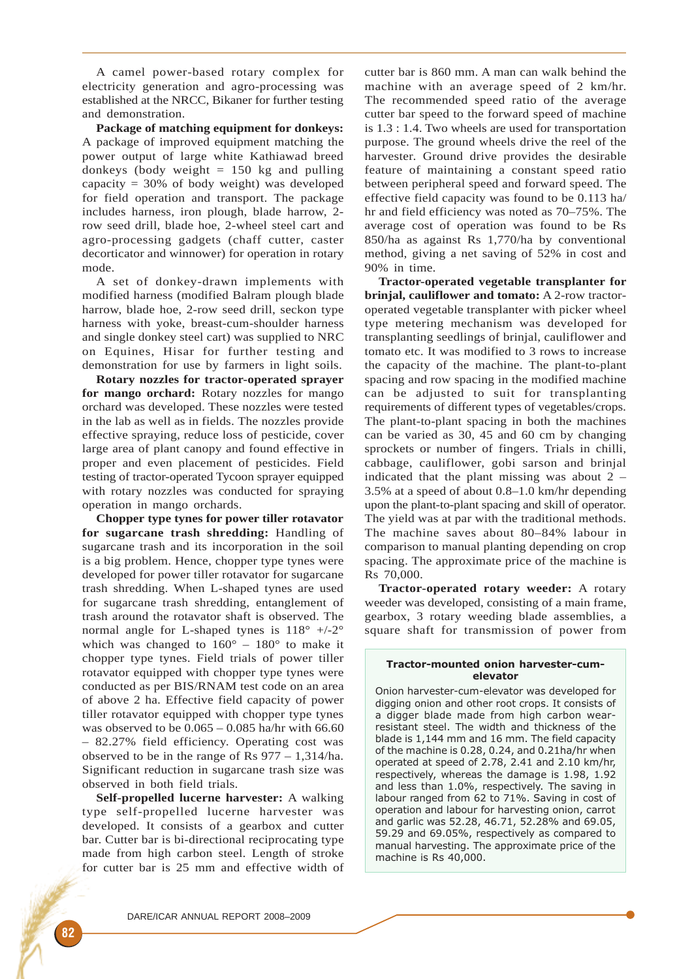A camel power-based rotary complex for electricity generation and agro-processing was established at the NRCC, Bikaner for further testing and demonstration.

**Package of matching equipment for donkeys:** A package of improved equipment matching the power output of large white Kathiawad breed donkeys (body weight  $= 150$  kg and pulling capacity = 30% of body weight) was developed for field operation and transport. The package includes harness, iron plough, blade harrow, 2 row seed drill, blade hoe, 2-wheel steel cart and agro-processing gadgets (chaff cutter, caster decorticator and winnower) for operation in rotary mode.

A set of donkey-drawn implements with modified harness (modified Balram plough blade harrow, blade hoe, 2-row seed drill, seckon type harness with yoke, breast-cum-shoulder harness and single donkey steel cart) was supplied to NRC on Equines, Hisar for further testing and demonstration for use by farmers in light soils.

**Rotary nozzles for tractor-operated sprayer for mango orchard:** Rotary nozzles for mango orchard was developed. These nozzles were tested in the lab as well as in fields. The nozzles provide effective spraying, reduce loss of pesticide, cover large area of plant canopy and found effective in proper and even placement of pesticides. Field testing of tractor-operated Tycoon sprayer equipped with rotary nozzles was conducted for spraying operation in mango orchards.

**Chopper type tynes for power tiller rotavator for sugarcane trash shredding:** Handling of sugarcane trash and its incorporation in the soil is a big problem. Hence, chopper type tynes were developed for power tiller rotavator for sugarcane trash shredding. When L-shaped tynes are used for sugarcane trash shredding, entanglement of trash around the rotavator shaft is observed. The normal angle for L-shaped tynes is  $118^\circ$  +/-2° which was changed to  $160^{\circ}$  –  $180^{\circ}$  to make it chopper type tynes. Field trials of power tiller rotavator equipped with chopper type tynes were conducted as per BIS/RNAM test code on an area of above 2 ha. Effective field capacity of power tiller rotavator equipped with chopper type tynes was observed to be 0.065 – 0.085 ha/hr with 66.60 – 82.27% field efficiency. Operating cost was observed to be in the range of Rs 977 – 1,314/ha. Significant reduction in sugarcane trash size was observed in both field trials.

**Self-propelled lucerne harvester:** A walking type self-propelled lucerne harvester was developed. It consists of a gearbox and cutter bar. Cutter bar is bi-directional reciprocating type made from high carbon steel. Length of stroke for cutter bar is 25 mm and effective width of cutter bar is 860 mm. A man can walk behind the machine with an average speed of 2 km/hr. The recommended speed ratio of the average cutter bar speed to the forward speed of machine is 1.3 : 1.4. Two wheels are used for transportation purpose. The ground wheels drive the reel of the harvester. Ground drive provides the desirable feature of maintaining a constant speed ratio between peripheral speed and forward speed. The effective field capacity was found to be 0.113 ha/ hr and field efficiency was noted as 70–75%. The average cost of operation was found to be Rs 850/ha as against Rs 1,770/ha by conventional method, giving a net saving of 52% in cost and 90% in time.

**Tractor-operated vegetable transplanter for brinjal, cauliflower and tomato:** A 2-row tractoroperated vegetable transplanter with picker wheel type metering mechanism was developed for transplanting seedlings of brinjal, cauliflower and tomato etc. It was modified to 3 rows to increase the capacity of the machine. The plant-to-plant spacing and row spacing in the modified machine can be adjusted to suit for transplanting requirements of different types of vegetables/crops. The plant-to-plant spacing in both the machines can be varied as 30, 45 and 60 cm by changing sprockets or number of fingers. Trials in chilli, cabbage, cauliflower, gobi sarson and brinjal indicated that the plant missing was about  $2 -$ 3.5% at a speed of about 0.8–1.0 km/hr depending upon the plant-to-plant spacing and skill of operator. The yield was at par with the traditional methods. The machine saves about 80–84% labour in comparison to manual planting depending on crop spacing. The approximate price of the machine is Rs 70,000.

**Tractor-operated rotary weeder:** A rotary weeder was developed, consisting of a main frame, gearbox, 3 rotary weeding blade assemblies, a square shaft for transmission of power from

## Tractor-mounted onion harvester-cumelevator

Onion harvester-cum-elevator was developed for digging onion and other root crops. It consists of a digger blade made from high carbon wearresistant steel. The width and thickness of the blade is 1,144 mm and 16 mm. The field capacity of the machine is 0.28, 0.24, and 0.21ha/hr when operated at speed of 2.78, 2.41 and 2.10 km/hr, respectively, whereas the damage is 1.98, 1.92 and less than 1.0%, respectively. The saving in labour ranged from 62 to 71%. Saving in cost of operation and labour for harvesting onion, carrot and garlic was 52.28, 46.71, 52.28% and 69.05, 59.29 and 69.05%, respectively as compared to manual harvesting. The approximate price of the machine is Rs 40,000.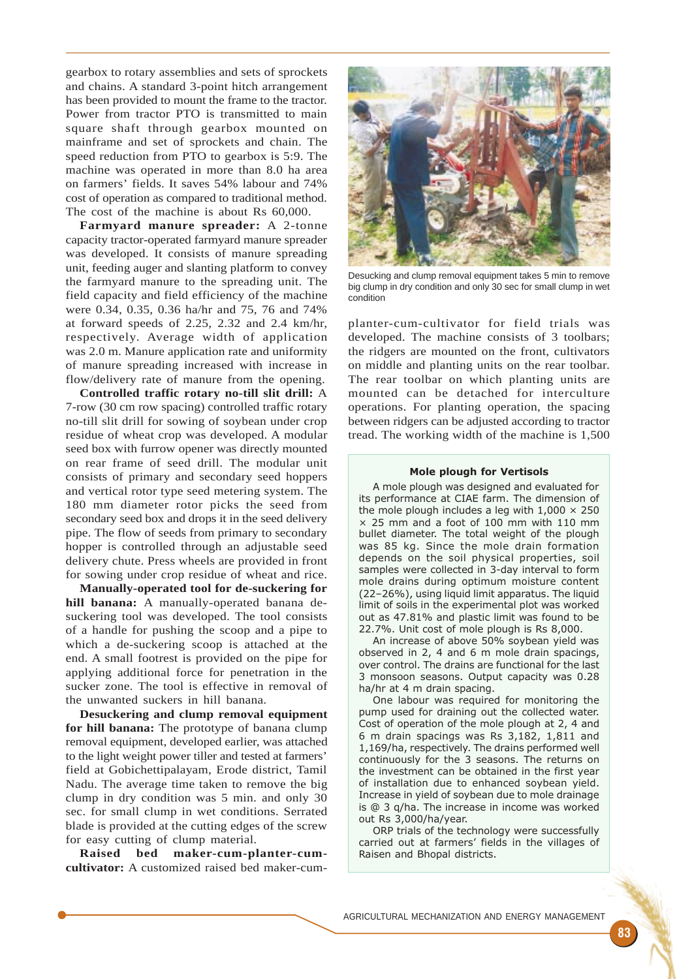gearbox to rotary assemblies and sets of sprockets and chains. A standard 3-point hitch arrangement has been provided to mount the frame to the tractor. Power from tractor PTO is transmitted to main square shaft through gearbox mounted on mainframe and set of sprockets and chain. The speed reduction from PTO to gearbox is 5:9. The machine was operated in more than 8.0 ha area on farmers' fields. It saves 54% labour and 74% cost of operation as compared to traditional method. The cost of the machine is about Rs 60,000.

**Farmyard manure spreader:** A 2-tonne capacity tractor-operated farmyard manure spreader was developed. It consists of manure spreading unit, feeding auger and slanting platform to convey the farmyard manure to the spreading unit. The field capacity and field efficiency of the machine were 0.34, 0.35, 0.36 ha/hr and 75, 76 and 74% at forward speeds of 2.25, 2.32 and 2.4 km/hr, respectively. Average width of application was 2.0 m. Manure application rate and uniformity of manure spreading increased with increase in flow/delivery rate of manure from the opening.

**Controlled traffic rotary no-till slit drill:** A 7-row (30 cm row spacing) controlled traffic rotary no-till slit drill for sowing of soybean under crop residue of wheat crop was developed. A modular seed box with furrow opener was directly mounted on rear frame of seed drill. The modular unit consists of primary and secondary seed hoppers and vertical rotor type seed metering system. The 180 mm diameter rotor picks the seed from secondary seed box and drops it in the seed delivery pipe. The flow of seeds from primary to secondary hopper is controlled through an adjustable seed delivery chute. Press wheels are provided in front for sowing under crop residue of wheat and rice.

**Manually-operated tool for de-suckering for hill banana:** A manually-operated banana desuckering tool was developed. The tool consists of a handle for pushing the scoop and a pipe to which a de-suckering scoop is attached at the end. A small footrest is provided on the pipe for applying additional force for penetration in the sucker zone. The tool is effective in removal of the unwanted suckers in hill banana.

**Desuckering and clump removal equipment for hill banana:** The prototype of banana clump removal equipment, developed earlier, was attached to the light weight power tiller and tested at farmers' field at Gobichettipalayam, Erode district, Tamil Nadu. The average time taken to remove the big clump in dry condition was 5 min. and only 30 sec. for small clump in wet conditions. Serrated blade is provided at the cutting edges of the screw for easy cutting of clump material.

**Raised bed maker-cum-planter-cumcultivator:** A customized raised bed maker-cum-



Desucking and clump removal equipment takes 5 min to remove big clump in dry condition and only 30 sec for small clump in wet condition

planter-cum-cultivator for field trials was developed. The machine consists of 3 toolbars; the ridgers are mounted on the front, cultivators on middle and planting units on the rear toolbar. The rear toolbar on which planting units are mounted can be detached for interculture operations. For planting operation, the spacing between ridgers can be adjusted according to tractor tread. The working width of the machine is 1,500

#### Mole plough for Vertisols

A mole plough was designed and evaluated for its performance at CIAE farm. The dimension of the mole plough includes a leg with  $1,000 \times 250$  $\times$  25 mm and a foot of 100 mm with 110 mm bullet diameter. The total weight of the plough was 85 kg. Since the mole drain formation depends on the soil physical properties, soil samples were collected in 3-day interval to form mole drains during optimum moisture content (22–26%), using liquid limit apparatus. The liquid limit of soils in the experimental plot was worked out as 47.81% and plastic limit was found to be 22.7%. Unit cost of mole plough is Rs 8,000.

An increase of above 50% soybean yield was observed in 2, 4 and 6 m mole drain spacings, over control. The drains are functional for the last 3 monsoon seasons. Output capacity was 0.28 ha/hr at 4 m drain spacing.

One labour was required for monitoring the pump used for draining out the collected water. Cost of operation of the mole plough at 2, 4 and 6 m drain spacings was Rs 3,182, 1,811 and 1,169/ha, respectively. The drains performed well continuously for the 3 seasons. The returns on the investment can be obtained in the first year of installation due to enhanced soybean yield. Increase in yield of soybean due to mole drainage is @ 3 q/ha. The increase in income was worked out Rs 3,000/ha/year.

ORP trials of the technology were successfully carried out at farmers' fields in the villages of Raisen and Bhopal districts.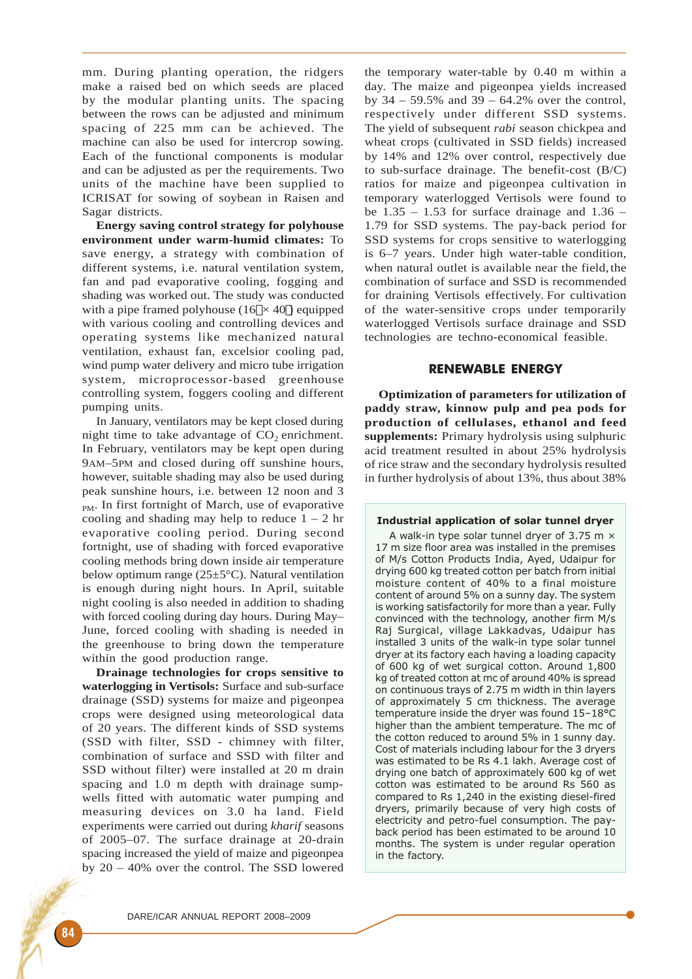mm. During planting operation, the ridgers make a raised bed on which seeds are placed by the modular planting units. The spacing between the rows can be adjusted and minimum spacing of 225 mm can be achieved. The machine can also be used for intercrop sowing. Each of the functional components is modular and can be adjusted as per the requirements. Two units of the machine have been supplied to ICRISAT for sowing of soybean in Raisen and Sagar districts.

**Energy saving control strategy for polyhouse environment under warm-humid climates:** To save energy, a strategy with combination of different systems, i.e. natural ventilation system, fan and pad evaporative cooling, fogging and shading was worked out. The study was conducted with a pipe framed polyhouse  $(16\text{r} \times 40\text{r})$  equipped with various cooling and controlling devices and operating systems like mechanized natural ventilation, exhaust fan, excelsior cooling pad, wind pump water delivery and micro tube irrigation system, microprocessor-based greenhouse controlling system, foggers cooling and different pumping units.

In January, ventilators may be kept closed during night time to take advantage of  $CO<sub>2</sub>$  enrichment. In February, ventilators may be kept open during 9AM–5PM and closed during off sunshine hours, however, suitable shading may also be used during peak sunshine hours, i.e. between 12 noon and 3 PM. In first fortnight of March, use of evaporative cooling and shading may help to reduce  $1 - 2$  hr evaporative cooling period. During second fortnight, use of shading with forced evaporative cooling methods bring down inside air temperature below optimum range (25±5°C). Natural ventilation is enough during night hours. In April, suitable night cooling is also needed in addition to shading with forced cooling during day hours. During May– June, forced cooling with shading is needed in the greenhouse to bring down the temperature within the good production range.

**Drainage technologies for crops sensitive to waterlogging in Vertisols:** Surface and sub-surface drainage (SSD) systems for maize and pigeonpea crops were designed using meteorological data of 20 years. The different kinds of SSD systems (SSD with filter, SSD - chimney with filter, combination of surface and SSD with filter and SSD without filter) were installed at 20 m drain spacing and 1.0 m depth with drainage sumpwells fitted with automatic water pumping and measuring devices on 3.0 ha land. Field experiments were carried out during *kharif* seasons of 2005–07. The surface drainage at 20-drain spacing increased the yield of maize and pigeonpea by 20 – 40% over the control. The SSD lowered the temporary water-table by 0.40 m within a day. The maize and pigeonpea yields increased by  $34 - 59.5\%$  and  $39 - 64.2\%$  over the control. respectively under different SSD systems. The yield of subsequent *rabi* season chickpea and wheat crops (cultivated in SSD fields) increased by 14% and 12% over control, respectively due to sub-surface drainage. The benefit-cost (B/C) ratios for maize and pigeonpea cultivation in temporary waterlogged Vertisols were found to be  $1.35 - 1.53$  for surface drainage and  $1.36 -$ 1.79 for SSD systems. The pay-back period for SSD systems for crops sensitive to waterlogging is 6–7 years. Under high water-table condition, when natural outlet is available near the field, the combination of surface and SSD is recommended for draining Vertisols effectively. For cultivation of the water-sensitive crops under temporarily waterlogged Vertisols surface drainage and SSD technologies are techno-economical feasible.

# RENEWABLE ENERGY

**Optimization of parameters for utilization of paddy straw, kinnow pulp and pea pods for production of cellulases, ethanol and feed supplements:** Primary hydrolysis using sulphuric acid treatment resulted in about 25% hydrolysis of rice straw and the secondary hydrolysis resulted in further hydrolysis of about 13%, thus about 38%

# Industrial application of solar tunnel dryer

A walk-in type solar tunnel dryer of 3.75 m  $\times$ 17 m size floor area was installed in the premises of M/s Cotton Products India, Ayed, Udaipur for drying 600 kg treated cotton per batch from initial moisture content of 40% to a final moisture content of around 5% on a sunny day. The system is working satisfactorily for more than a year. Fully convinced with the technology, another firm M/s Raj Surgical, village Lakkadvas, Udaipur has installed 3 units of the walk-in type solar tunnel dryer at its factory each having a loading capacity of 600 kg of wet surgical cotton. Around 1,800 kg of treated cotton at mc of around 40% is spread on continuous trays of 2.75 m width in thin layers of approximately 5 cm thickness. The average temperature inside the dryer was found 15–18°C higher than the ambient temperature. The mc of the cotton reduced to around 5% in 1 sunny day. Cost of materials including labour for the 3 dryers was estimated to be Rs 4.1 lakh. Average cost of drying one batch of approximately 600 kg of wet cotton was estimated to be around Rs 560 as compared to Rs 1,240 in the existing diesel-fired dryers, primarily because of very high costs of electricity and petro-fuel consumption. The payback period has been estimated to be around 10 months. The system is under regular operation in the factory.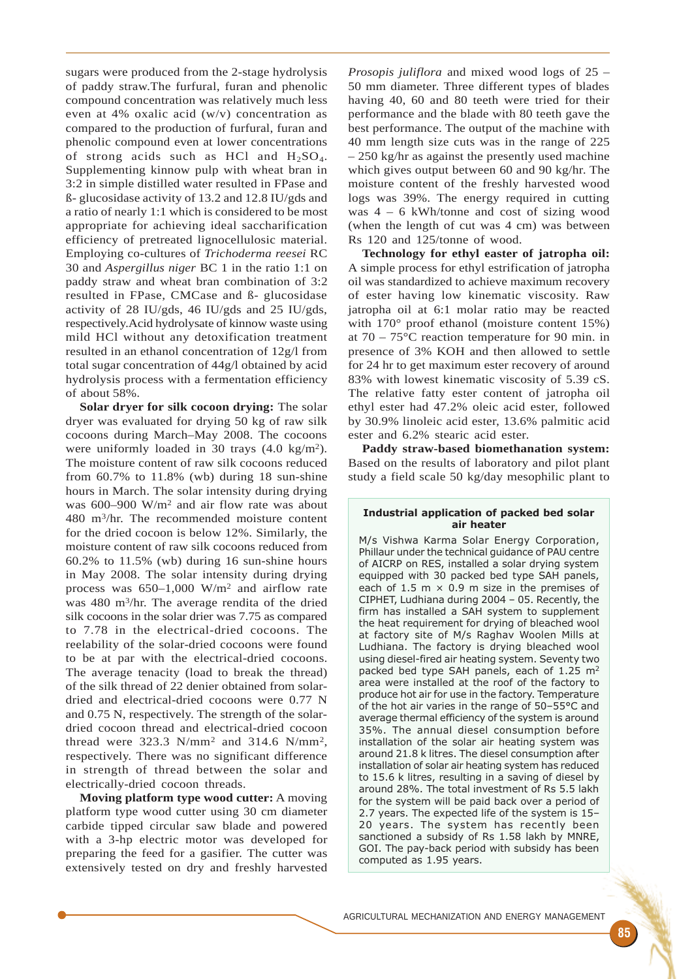sugars were produced from the 2-stage hydrolysis of paddy straw.The furfural, furan and phenolic compound concentration was relatively much less even at 4% oxalic acid (w/v) concentration as compared to the production of furfural, furan and phenolic compound even at lower concentrations of strong acids such as HCl and  $H_2SO_4$ . Supplementing kinnow pulp with wheat bran in 3:2 in simple distilled water resulted in FPase and ß- glucosidase activity of 13.2 and 12.8 IU/gds and a ratio of nearly 1:1 which is considered to be most appropriate for achieving ideal saccharification efficiency of pretreated lignocellulosic material. Employing co-cultures of *Trichoderma reesei* RC 30 and *Aspergillus niger* BC 1 in the ratio 1:1 on paddy straw and wheat bran combination of 3:2 resulted in FPase, CMCase and ß- glucosidase activity of 28 IU/gds, 46 IU/gds and 25 IU/gds, respectively.Acid hydrolysate of kinnow waste using mild HCl without any detoxification treatment resulted in an ethanol concentration of 12g/l from total sugar concentration of 44g/l obtained by acid hydrolysis process with a fermentation efficiency of about 58%.

**Solar dryer for silk cocoon drying:** The solar dryer was evaluated for drying 50 kg of raw silk cocoons during March–May 2008. The cocoons were uniformly loaded in 30 trays (4.0 kg/m2). The moisture content of raw silk cocoons reduced from 60.7% to 11.8% (wb) during 18 sun-shine hours in March. The solar intensity during drying was 600–900 W/m2 and air flow rate was about 480 m3/hr. The recommended moisture content for the dried cocoon is below 12%. Similarly, the moisture content of raw silk cocoons reduced from 60.2% to 11.5% (wb) during 16 sun-shine hours in May 2008. The solar intensity during drying process was 650–1,000 W/m2 and airflow rate was 480 m3/hr. The average rendita of the dried silk cocoons in the solar drier was 7.75 as compared to 7.78 in the electrical-dried cocoons. The reelability of the solar-dried cocoons were found to be at par with the electrical-dried cocoons. The average tenacity (load to break the thread) of the silk thread of 22 denier obtained from solardried and electrical-dried cocoons were 0.77 N and 0.75 N, respectively. The strength of the solardried cocoon thread and electrical-dried cocoon thread were 323.3 N/mm2 and 314.6 N/mm2, respectively. There was no significant difference in strength of thread between the solar and electrically-dried cocoon threads.

**Moving platform type wood cutter:** A moving platform type wood cutter using 30 cm diameter carbide tipped circular saw blade and powered with a 3-hp electric motor was developed for preparing the feed for a gasifier. The cutter was extensively tested on dry and freshly harvested

*Prosopis juliflora* and mixed wood logs of 25 – 50 mm diameter. Three different types of blades having 40, 60 and 80 teeth were tried for their performance and the blade with 80 teeth gave the best performance. The output of the machine with 40 mm length size cuts was in the range of 225 – 250 kg/hr as against the presently used machine which gives output between 60 and 90 kg/hr. The moisture content of the freshly harvested wood logs was 39%. The energy required in cutting was 4 – 6 kWh/tonne and cost of sizing wood (when the length of cut was 4 cm) was between Rs 120 and 125/tonne of wood.

**Technology for ethyl easter of jatropha oil:** A simple process for ethyl estrification of jatropha oil was standardized to achieve maximum recovery of ester having low kinematic viscosity. Raw jatropha oil at 6:1 molar ratio may be reacted with 170° proof ethanol (moisture content 15%) at 70 – 75°C reaction temperature for 90 min. in presence of 3% KOH and then allowed to settle for 24 hr to get maximum ester recovery of around 83% with lowest kinematic viscosity of 5.39 cS. The relative fatty ester content of jatropha oil ethyl ester had 47.2% oleic acid ester, followed by 30.9% linoleic acid ester, 13.6% palmitic acid ester and 6.2% stearic acid ester.

**Paddy straw-based biomethanation system:** Based on the results of laboratory and pilot plant study a field scale 50 kg/day mesophilic plant to

## Industrial application of packed bed solar air heater

M/s Vishwa Karma Solar Energy Corporation, Phillaur under the technical guidance of PAU centre of AICRP on RES, installed a solar drying system equipped with 30 packed bed type SAH panels, each of 1.5 m  $\times$  0.9 m size in the premises of CIPHET, Ludhiana during 2004 – 05. Recently, the firm has installed a SAH system to supplement the heat requirement for drying of bleached wool at factory site of M/s Raghav Woolen Mills at Ludhiana. The factory is drying bleached wool using diesel-fired air heating system. Seventy two packed bed type SAH panels, each of 1.25 m<sup>2</sup> area were installed at the roof of the factory to produce hot air for use in the factory. Temperature of the hot air varies in the range of 50–55°C and average thermal efficiency of the system is around 35%. The annual diesel consumption before installation of the solar air heating system was around 21.8 k litres. The diesel consumption after installation of solar air heating system has reduced to 15.6 k litres, resulting in a saving of diesel by around 28%. The total investment of Rs 5.5 lakh for the system will be paid back over a period of 2.7 years. The expected life of the system is 15– 20 years. The system has recently been sanctioned a subsidy of Rs 1.58 lakh by MNRE, GOI. The pay-back period with subsidy has been computed as 1.95 years.